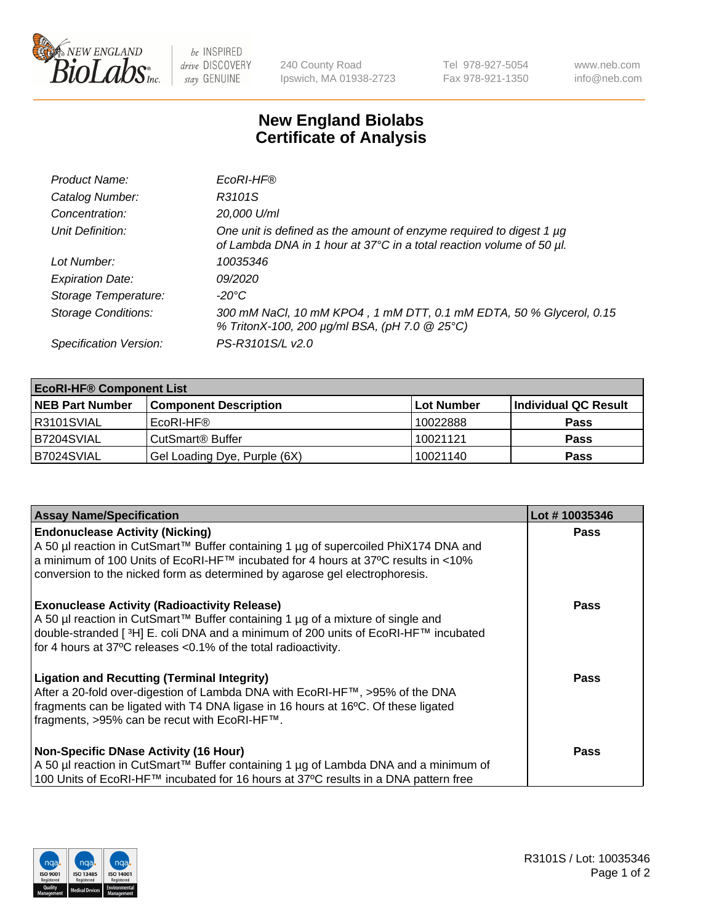

 $be$  INSPIRED drive DISCOVERY stay GENUINE

240 County Road Ipswich, MA 01938-2723 Tel 978-927-5054 Fax 978-921-1350 www.neb.com info@neb.com

## **New England Biolabs Certificate of Analysis**

| Product Name:              | EcoRI-HF®                                                                                                                                   |
|----------------------------|---------------------------------------------------------------------------------------------------------------------------------------------|
| Catalog Number:            | R3101S                                                                                                                                      |
| Concentration:             | 20,000 U/ml                                                                                                                                 |
| Unit Definition:           | One unit is defined as the amount of enzyme required to digest 1 µg<br>of Lambda DNA in 1 hour at 37°C in a total reaction volume of 50 µl. |
| Lot Number:                | 10035346                                                                                                                                    |
| <b>Expiration Date:</b>    | 09/2020                                                                                                                                     |
| Storage Temperature:       | -20°C                                                                                                                                       |
| <b>Storage Conditions:</b> | 300 mM NaCl, 10 mM KPO4, 1 mM DTT, 0.1 mM EDTA, 50 % Glycerol, 0.15<br>% TritonX-100, 200 µg/ml BSA, (pH 7.0 @ 25°C)                        |
| Specification Version:     | PS-R3101S/L v2.0                                                                                                                            |

| <b>EcoRI-HF® Component List</b> |                              |            |                      |  |  |
|---------------------------------|------------------------------|------------|----------------------|--|--|
| <b>NEB Part Number</b>          | <b>Component Description</b> | Lot Number | Individual QC Result |  |  |
| IR3101SVIAL                     | EcoRI-HF®                    | 10022888   | <b>Pass</b>          |  |  |
| B7204SVIAL                      | CutSmart <sup>®</sup> Buffer | 10021121   | <b>Pass</b>          |  |  |
| B7024SVIAL                      | Gel Loading Dye, Purple (6X) | 10021140   | <b>Pass</b>          |  |  |

| <b>Assay Name/Specification</b>                                                                                                                                                                                                                                                                             | Lot #10035346 |
|-------------------------------------------------------------------------------------------------------------------------------------------------------------------------------------------------------------------------------------------------------------------------------------------------------------|---------------|
| <b>Endonuclease Activity (Nicking)</b><br>  A 50 µl reaction in CutSmart™ Buffer containing 1 µg of supercoiled PhiX174 DNA and                                                                                                                                                                             | <b>Pass</b>   |
| a minimum of 100 Units of EcoRI-HF™ incubated for 4 hours at 37ºC results in <10%<br>conversion to the nicked form as determined by agarose gel electrophoresis.                                                                                                                                            |               |
| <b>Exonuclease Activity (Radioactivity Release)</b><br>A 50 µl reaction in CutSmart™ Buffer containing 1 µg of a mixture of single and<br>double-stranded [ <sup>3</sup> H] E. coli DNA and a minimum of 200 units of EcoRI-HF™ incubated<br>for 4 hours at 37°C releases <0.1% of the total radioactivity. | <b>Pass</b>   |
| <b>Ligation and Recutting (Terminal Integrity)</b><br>After a 20-fold over-digestion of Lambda DNA with EcoRI-HF™, >95% of the DNA<br>fragments can be ligated with T4 DNA ligase in 16 hours at 16°C. Of these ligated<br>fragments, >95% can be recut with EcoRI-HF™.                                     | <b>Pass</b>   |
| <b>Non-Specific DNase Activity (16 Hour)</b><br>A 50 µl reaction in CutSmart™ Buffer containing 1 µg of Lambda DNA and a minimum of                                                                                                                                                                         | <b>Pass</b>   |
| 100 Units of EcoRI-HF™ incubated for 16 hours at 37°C results in a DNA pattern free                                                                                                                                                                                                                         |               |